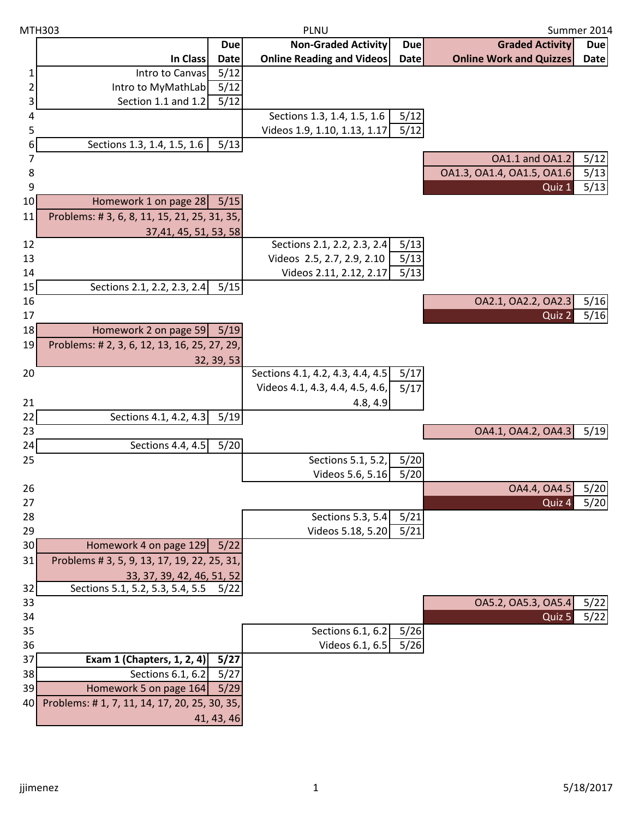| MTH303   |                                              | PLNU        |                                                                     |             | Summer 2014                    |            |
|----------|----------------------------------------------|-------------|---------------------------------------------------------------------|-------------|--------------------------------|------------|
|          |                                              | <b>Due</b>  | <b>Non-Graded Activity</b>                                          | <b>Due</b>  | <b>Graded Activity</b>         | <b>Due</b> |
|          | In Class                                     | <b>Date</b> | <b>Online Reading and Videos</b>                                    | <b>Date</b> | <b>Online Work and Quizzes</b> | Date       |
|          | Intro to Canvas                              | 5/12        |                                                                     |             |                                |            |
| 2        | Intro to MyMathLab                           | 5/12        |                                                                     |             |                                |            |
| 3        | Section 1.1 and 1.2                          | 5/12        |                                                                     |             |                                |            |
| 4        |                                              |             | Sections 1.3, 1.4, 1.5, 1.6                                         | 5/12        |                                |            |
| 5        |                                              |             | Videos 1.9, 1.10, 1.13, 1.17                                        | 5/12        |                                |            |
| 6        | Sections 1.3, 1.4, 1.5, 1.6                  | 5/13        |                                                                     |             |                                |            |
| 7        |                                              |             |                                                                     |             | <b>OA1.1 and OA1.2</b>         | 5/12       |
| 8        |                                              |             |                                                                     |             | 0A1.3, 0A1.4, 0A1.5, 0A1.6     | 5/13       |
| 9        |                                              |             |                                                                     |             | Quiz 1                         | 5/13       |
| 10       | Homework 1 on page 28                        | 5/15        |                                                                     |             |                                |            |
| 11       | Problems: #3, 6, 8, 11, 15, 21, 25, 31, 35,  |             |                                                                     |             |                                |            |
|          | 37,41, 45, 51, 53, 58                        |             |                                                                     |             |                                |            |
| 12       |                                              |             | Sections 2.1, 2.2, 2.3, 2.4                                         | 5/13        |                                |            |
| 13       |                                              |             | Videos 2.5, 2.7, 2.9, 2.10                                          | 5/13        |                                |            |
| 14       |                                              |             | Videos 2.11, 2.12, 2.17                                             | 5/13        |                                |            |
| 15       | Sections 2.1, 2.2, 2.3, 2.4                  | 5/15        |                                                                     |             |                                |            |
| 16       |                                              |             |                                                                     |             | OA2.1, OA2.2, OA2.3            | 5/16       |
| 17       |                                              |             |                                                                     |             | Quiz <sub>2</sub>              | $5/16$     |
| 18       | Homework 2 on page 59                        | 5/19        |                                                                     |             |                                |            |
| 19       | Problems: # 2, 3, 6, 12, 13, 16, 25, 27, 29, |             |                                                                     |             |                                |            |
|          |                                              | 32, 39, 53  |                                                                     |             |                                |            |
| 20       |                                              |             | Sections 4.1, 4.2, 4.3, 4.4, 4.5<br>Videos 4.1, 4.3, 4.4, 4.5, 4.6, | 5/17        |                                |            |
|          |                                              |             |                                                                     | 5/17        |                                |            |
| 21       |                                              |             | 4.8, 4.9                                                            |             |                                |            |
| 22<br>23 | Sections 4.1, 4.2, 4.3                       | 5/19        |                                                                     |             | OA4.1, OA4.2, OA4.3            | 5/19       |
| 24       | Sections 4.4, 4.5                            | $5/20$      |                                                                     |             |                                |            |
| 25       |                                              |             | Sections 5.1, 5.2,                                                  | 5/20        |                                |            |
|          |                                              |             | Videos 5.6, 5.16                                                    | 5/20        |                                |            |
| 26       |                                              |             |                                                                     |             | OA4.4, OA4.5                   | 5/20       |
| 27       |                                              |             |                                                                     |             | Quiz 4                         | 5/20       |
| 28       |                                              |             | Sections 5.3, 5.4                                                   | 5/21        |                                |            |
| 29       |                                              |             | Videos 5.18, 5.20                                                   | 5/21        |                                |            |
| 30       | Homework 4 on page 129                       | 5/22        |                                                                     |             |                                |            |
| 31       | Problems # 3, 5, 9, 13, 17, 19, 22, 25, 31,  |             |                                                                     |             |                                |            |
|          | 33, 37, 39, 42, 46, 51, 52                   |             |                                                                     |             |                                |            |
| 32       | Sections 5.1, 5.2, 5.3, 5.4, 5.5             | 5/22        |                                                                     |             |                                |            |
| 33       |                                              |             |                                                                     |             | OA5.2, OA5.3, OA5.4            | 5/22       |
| 34       |                                              |             |                                                                     |             | Quiz 5                         | 5/22       |
| 35       |                                              |             | Sections 6.1, 6.2                                                   | 5/26        |                                |            |
| 36       |                                              |             | Videos 6.1, 6.5                                                     | 5/26        |                                |            |
| 37       | Exam 1 (Chapters, 1, 2, 4)                   | 5/27        |                                                                     |             |                                |            |
| 38       | Sections $6.1, 6.2$                          | 5/27        |                                                                     |             |                                |            |
| 39       | Homework 5 on page 164                       | 5/29        |                                                                     |             |                                |            |
| 40       | Problems: #1, 7, 11, 14, 17, 20, 25, 30, 35, |             |                                                                     |             |                                |            |
|          |                                              | 41, 43, 46  |                                                                     |             |                                |            |